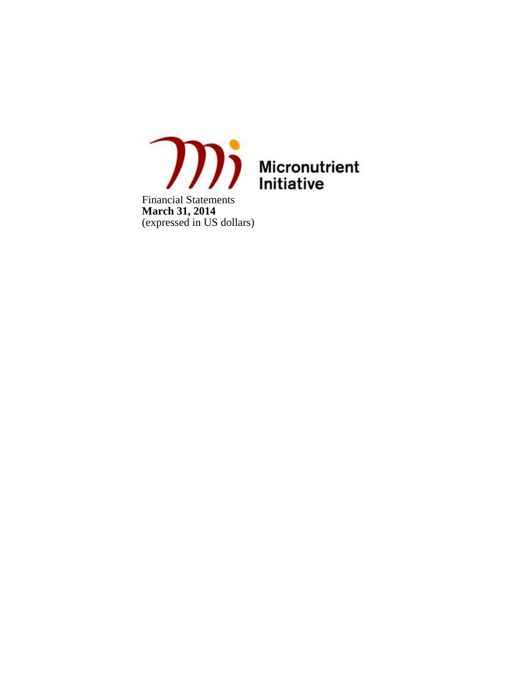

Financial Statements **March 31, 2014** (expressed in US dollars)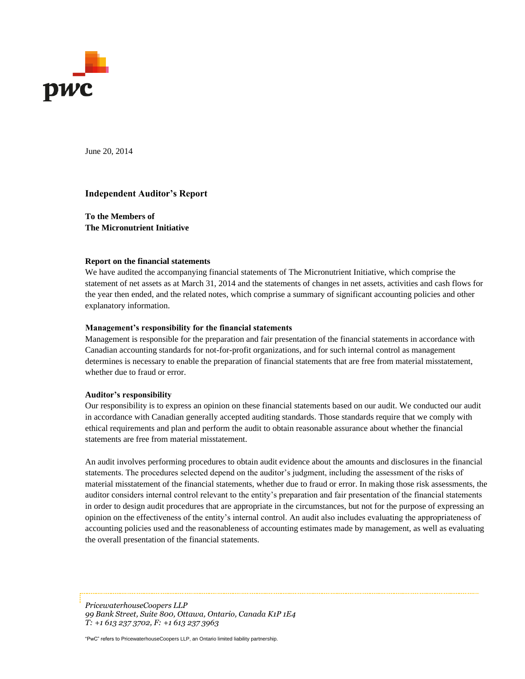

June 20, 2014

#### **Independent Auditor's Report**

**To the Members of The Micronutrient Initiative**

#### **Report on the financial statements**

We have audited the accompanying financial statements of The Micronutrient Initiative, which comprise the statement of net assets as at March 31, 2014 and the statements of changes in net assets, activities and cash flows for the year then ended, and the related notes, which comprise a summary of significant accounting policies and other explanatory information.

#### **Management's responsibility for the financial statements**

Management is responsible for the preparation and fair presentation of the financial statements in accordance with Canadian accounting standards for not-for-profit organizations, and for such internal control as management determines is necessary to enable the preparation of financial statements that are free from material misstatement, whether due to fraud or error.

#### **Auditor's responsibility**

Our responsibility is to express an opinion on these financial statements based on our audit. We conducted our audit in accordance with Canadian generally accepted auditing standards. Those standards require that we comply with ethical requirements and plan and perform the audit to obtain reasonable assurance about whether the financial statements are free from material misstatement.

An audit involves performing procedures to obtain audit evidence about the amounts and disclosures in the financial statements. The procedures selected depend on the auditor's judgment, including the assessment of the risks of material misstatement of the financial statements, whether due to fraud or error. In making those risk assessments, the auditor considers internal control relevant to the entity's preparation and fair presentation of the financial statements in order to design audit procedures that are appropriate in the circumstances, but not for the purpose of expressing an opinion on the effectiveness of the entity's internal control. An audit also includes evaluating the appropriateness of accounting policies used and the reasonableness of accounting estimates made by management, as well as evaluating the overall presentation of the financial statements.

*PricewaterhouseCoopers LLP 99 Bank Street, Suite 800, Ottawa, Ontario, Canada K1P 1E4 T: +1 613 237 3702, F: +1 613 237 3963*

"PwC" refers to PricewaterhouseCoopers LLP, an Ontario limited liability partnership.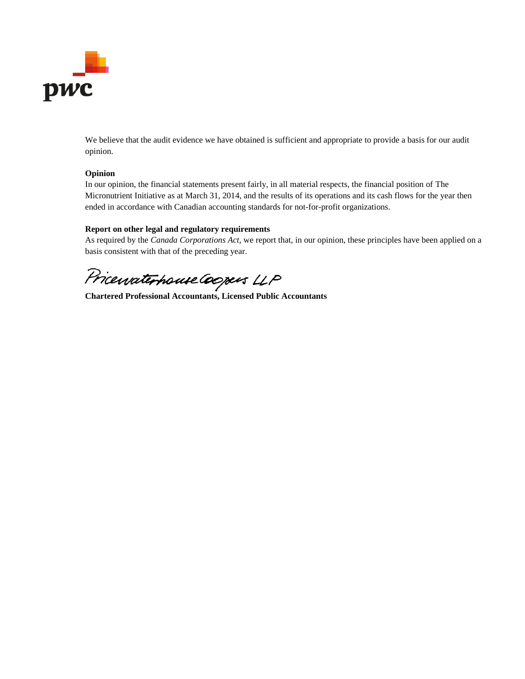

We believe that the audit evidence we have obtained is sufficient and appropriate to provide a basis for our audit opinion.

#### **Opinion**

In our opinion, the financial statements present fairly, in all material respects, the financial position of The Micronutrient Initiative as at March 31, 2014, and the results of its operations and its cash flows for the year then ended in accordance with Canadian accounting standards for not-for-profit organizations.

### **Report on other legal and regulatory requirements**

As required by the *Canada Corporations Act*, we report that, in our opinion, these principles have been applied on a basis consistent with that of the preceding year.

Price*uvaterhouse Coopers* LLP<br>Chartered Professional Accountants, Licensed Public Accountants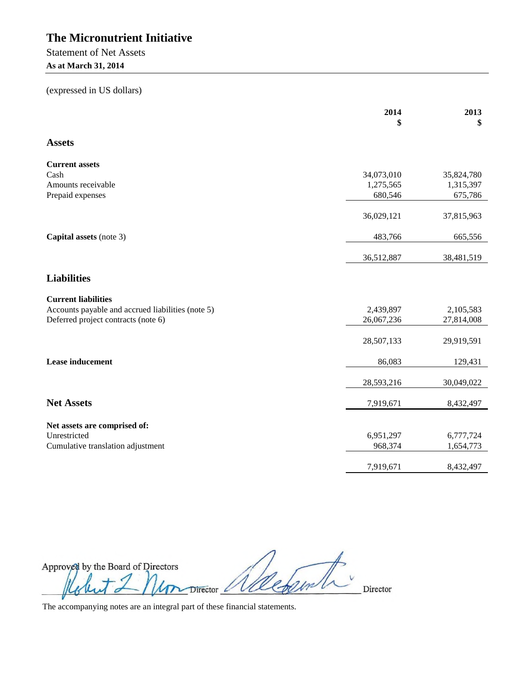Statement of Net Assets **As at March 31, 2014**

(expressed in US dollars)

|                                                   | 2014<br>\$ | 2013<br>\$ |
|---------------------------------------------------|------------|------------|
| <b>Assets</b>                                     |            |            |
| <b>Current assets</b>                             |            |            |
| Cash                                              | 34,073,010 | 35,824,780 |
| Amounts receivable                                | 1,275,565  | 1,315,397  |
| Prepaid expenses                                  | 680,546    | 675,786    |
|                                                   | 36,029,121 | 37,815,963 |
| Capital assets (note 3)                           | 483,766    | 665,556    |
|                                                   | 36,512,887 | 38,481,519 |
| <b>Liabilities</b>                                |            |            |
| <b>Current liabilities</b>                        |            |            |
| Accounts payable and accrued liabilities (note 5) | 2,439,897  | 2,105,583  |
| Deferred project contracts (note 6)               | 26,067,236 | 27,814,008 |
|                                                   | 28,507,133 | 29,919,591 |
| <b>Lease inducement</b>                           | 86,083     | 129,431    |
|                                                   | 28,593,216 | 30,049,022 |
| <b>Net Assets</b>                                 | 7,919,671  | 8,432,497  |
| Net assets are comprised of:                      |            |            |
| Unrestricted                                      | 6,951,297  | 6,777,724  |
| Cumulative translation adjustment                 | 968,374    | 1,654,773  |
|                                                   | 7,919,671  | 8,432,497  |
|                                                   |            |            |

Approved by the Board of Directors An Director *Allebant* 1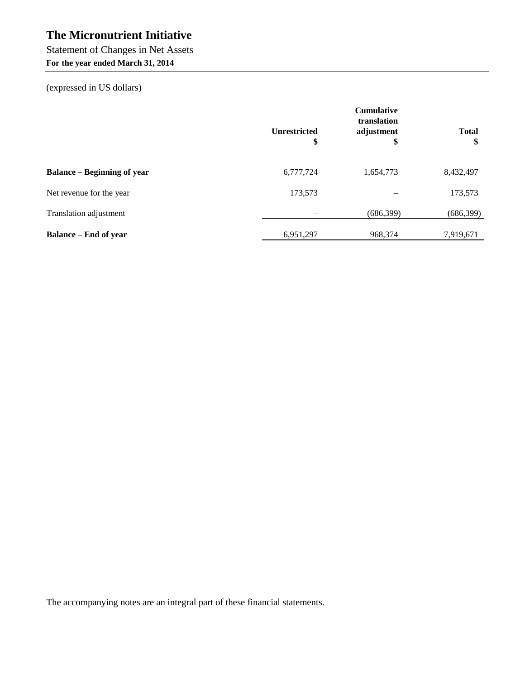Statement of Changes in Net Assets

**For the year ended March 31, 2014**

(expressed in US dollars)

|                                    | <b>Cumulative</b><br>translation |                  |                    |
|------------------------------------|----------------------------------|------------------|--------------------|
|                                    | <b>Unrestricted</b><br>\$        | adjustment<br>\$ | <b>Total</b><br>\$ |
| <b>Balance – Beginning of year</b> | 6,777,724                        | 1,654,773        | 8,432,497          |
| Net revenue for the year           | 173,573                          |                  | 173,573            |
| Translation adjustment             |                                  | (686,399)        | (686, 399)         |
| <b>Balance – End of year</b>       | 6,951,297                        | 968,374          | 7,919,671          |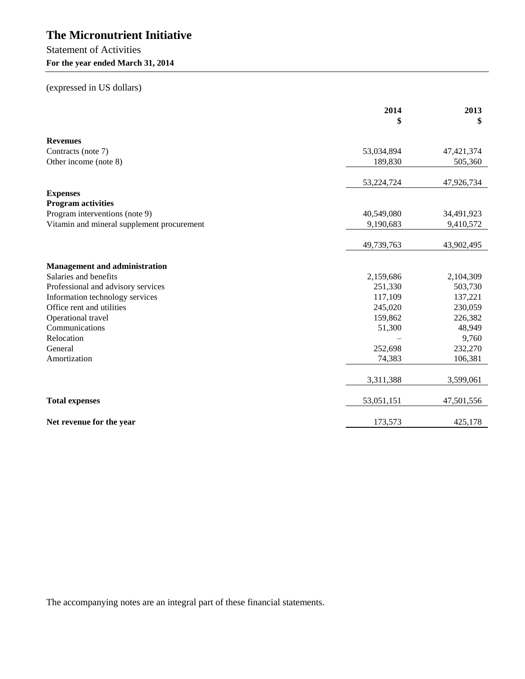## Statement of Activities **For the year ended March 31, 2014**

## (expressed in US dollars)

|                                            | 2014<br>\$ | 2013<br>\$   |
|--------------------------------------------|------------|--------------|
| <b>Revenues</b>                            |            |              |
| Contracts (note 7)                         | 53,034,894 | 47, 421, 374 |
| Other income (note 8)                      | 189,830    | 505,360      |
|                                            | 53,224,724 | 47,926,734   |
| <b>Expenses</b>                            |            |              |
| <b>Program activities</b>                  |            |              |
| Program interventions (note 9)             | 40,549,080 | 34,491,923   |
| Vitamin and mineral supplement procurement | 9,190,683  | 9,410,572    |
|                                            | 49,739,763 | 43,902,495   |
|                                            |            |              |
| <b>Management and administration</b>       |            |              |
| Salaries and benefits                      | 2,159,686  | 2,104,309    |
| Professional and advisory services         | 251,330    | 503,730      |
| Information technology services            | 117,109    | 137,221      |
| Office rent and utilities                  | 245,020    | 230,059      |
| Operational travel                         | 159,862    | 226,382      |
| Communications                             | 51,300     | 48,949       |
| Relocation                                 |            | 9,760        |
| General                                    | 252,698    | 232,270      |
| Amortization                               | 74,383     | 106,381      |
|                                            | 3,311,388  | 3,599,061    |
|                                            |            |              |
| <b>Total expenses</b>                      | 53,051,151 | 47,501,556   |
| Net revenue for the year                   | 173,573    | 425,178      |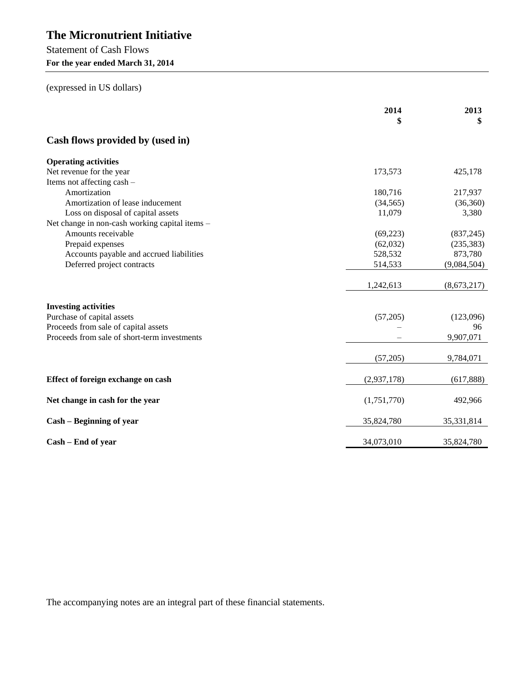Statement of Cash Flows **For the year ended March 31, 2014**

(expressed in US dollars)

|                                                | 2014        | 2013<br>\$  |
|------------------------------------------------|-------------|-------------|
| Cash flows provided by (used in)               |             |             |
| <b>Operating activities</b>                    |             |             |
| Net revenue for the year                       | 173,573     | 425,178     |
| Items not affecting cash -                     |             |             |
| Amortization                                   | 180,716     | 217,937     |
| Amortization of lease inducement               | (34, 565)   | (36, 360)   |
| Loss on disposal of capital assets             | 11,079      | 3,380       |
| Net change in non-cash working capital items - |             |             |
| Amounts receivable                             | (69,223)    | (837, 245)  |
| Prepaid expenses                               | (62,032)    | (235, 383)  |
| Accounts payable and accrued liabilities       | 528,532     | 873,780     |
| Deferred project contracts                     | 514,533     | (9,084,504) |
|                                                | 1,242,613   | (8,673,217) |
| <b>Investing activities</b>                    |             |             |
| Purchase of capital assets                     | (57,205)    | (123,096)   |
| Proceeds from sale of capital assets           |             | 96          |
| Proceeds from sale of short-term investments   |             | 9,907,071   |
|                                                | (57,205)    | 9,784,071   |
| Effect of foreign exchange on cash             | (2,937,178) | (617, 888)  |
| Net change in cash for the year                | (1,751,770) | 492,966     |
| Cash – Beginning of year                       | 35,824,780  | 35,331,814  |
| Cash – End of year                             | 34,073,010  | 35,824,780  |
|                                                |             |             |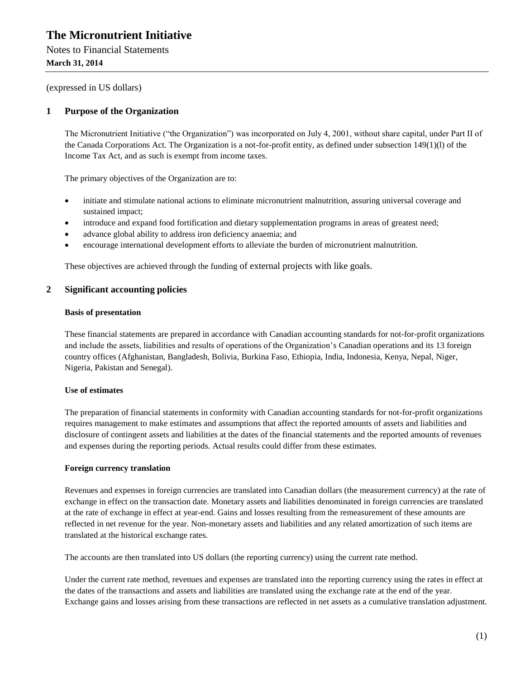Notes to Financial Statements **March 31, 2014**

(expressed in US dollars)

## **1 Purpose of the Organization**

The Micronutrient Initiative ("the Organization") was incorporated on July 4, 2001, without share capital, under Part II of the Canada Corporations Act. The Organization is a not-for-profit entity, as defined under subsection 149(1)(l) of the Income Tax Act, and as such is exempt from income taxes.

The primary objectives of the Organization are to:

- initiate and stimulate national actions to eliminate micronutrient malnutrition, assuring universal coverage and sustained impact;
- introduce and expand food fortification and dietary supplementation programs in areas of greatest need;
- advance global ability to address iron deficiency anaemia; and
- encourage international development efforts to alleviate the burden of micronutrient malnutrition.

These objectives are achieved through the funding of external projects with like goals.

## **2 Significant accounting policies**

#### **Basis of presentation**

These financial statements are prepared in accordance with Canadian accounting standards for not-for-profit organizations and include the assets, liabilities and results of operations of the Organization's Canadian operations and its 13 foreign country offices (Afghanistan, Bangladesh, Bolivia, Burkina Faso, Ethiopia, India, Indonesia, Kenya, Nepal, Niger, Nigeria, Pakistan and Senegal).

#### **Use of estimates**

The preparation of financial statements in conformity with Canadian accounting standards for not-for-profit organizations requires management to make estimates and assumptions that affect the reported amounts of assets and liabilities and disclosure of contingent assets and liabilities at the dates of the financial statements and the reported amounts of revenues and expenses during the reporting periods. Actual results could differ from these estimates.

#### **Foreign currency translation**

Revenues and expenses in foreign currencies are translated into Canadian dollars (the measurement currency) at the rate of exchange in effect on the transaction date. Monetary assets and liabilities denominated in foreign currencies are translated at the rate of exchange in effect at year-end. Gains and losses resulting from the remeasurement of these amounts are reflected in net revenue for the year. Non-monetary assets and liabilities and any related amortization of such items are translated at the historical exchange rates.

The accounts are then translated into US dollars (the reporting currency) using the current rate method.

Under the current rate method, revenues and expenses are translated into the reporting currency using the rates in effect at the dates of the transactions and assets and liabilities are translated using the exchange rate at the end of the year. Exchange gains and losses arising from these transactions are reflected in net assets as a cumulative translation adjustment.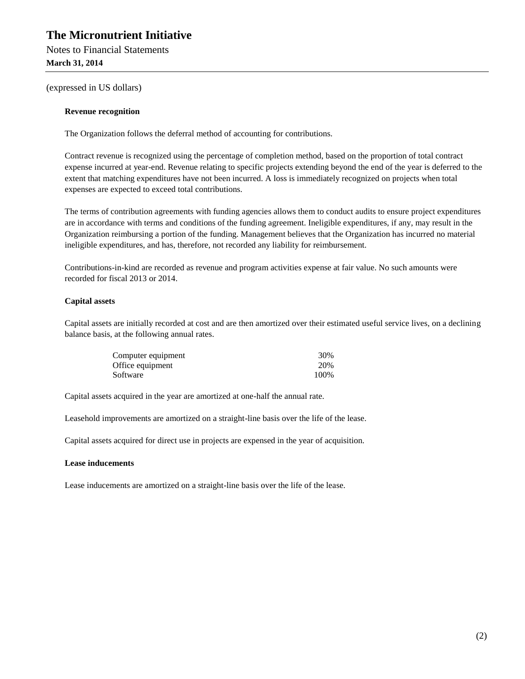Notes to Financial Statements **March 31, 2014**

(expressed in US dollars)

#### **Revenue recognition**

The Organization follows the deferral method of accounting for contributions.

Contract revenue is recognized using the percentage of completion method, based on the proportion of total contract expense incurred at year-end. Revenue relating to specific projects extending beyond the end of the year is deferred to the extent that matching expenditures have not been incurred. A loss is immediately recognized on projects when total expenses are expected to exceed total contributions.

The terms of contribution agreements with funding agencies allows them to conduct audits to ensure project expenditures are in accordance with terms and conditions of the funding agreement. Ineligible expenditures, if any, may result in the Organization reimbursing a portion of the funding. Management believes that the Organization has incurred no material ineligible expenditures, and has, therefore, not recorded any liability for reimbursement.

Contributions-in-kind are recorded as revenue and program activities expense at fair value. No such amounts were recorded for fiscal 2013 or 2014.

#### **Capital assets**

Capital assets are initially recorded at cost and are then amortized over their estimated useful service lives, on a declining balance basis, at the following annual rates.

| Computer equipment | 30%  |
|--------------------|------|
| Office equipment   | 20%  |
| Software           | 100% |

Capital assets acquired in the year are amortized at one-half the annual rate.

Leasehold improvements are amortized on a straight-line basis over the life of the lease.

Capital assets acquired for direct use in projects are expensed in the year of acquisition.

#### **Lease inducements**

Lease inducements are amortized on a straight-line basis over the life of the lease.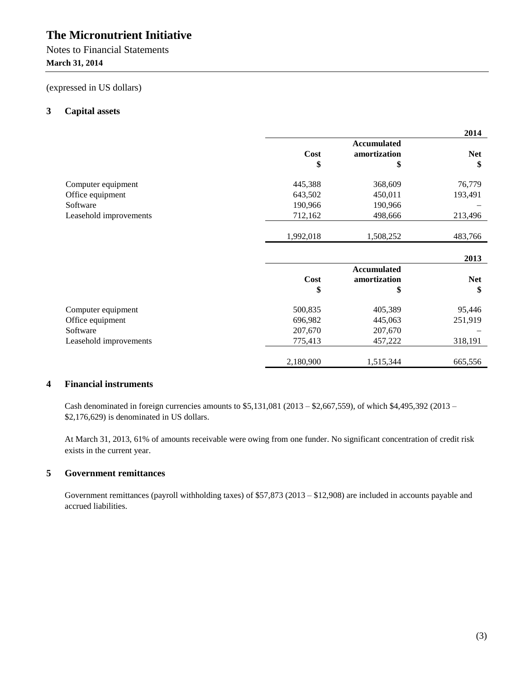Notes to Financial Statements **March 31, 2014**

(expressed in US dollars)

## **3 Capital assets**

|                        |             |                    | 2014       |
|------------------------|-------------|--------------------|------------|
|                        |             | <b>Accumulated</b> |            |
|                        | <b>Cost</b> | amortization       | <b>Net</b> |
|                        | \$          | \$                 | \$         |
| Computer equipment     | 445,388     | 368,609            | 76,779     |
| Office equipment       | 643,502     | 450,011            | 193,491    |
| Software               | 190,966     | 190,966            |            |
| Leasehold improvements | 712,162     | 498,666            | 213,496    |
|                        | 1,992,018   | 1,508,252          | 483,766    |
|                        |             |                    | 2013       |
|                        |             | <b>Accumulated</b> |            |
|                        | <b>Cost</b> | amortization       | <b>Net</b> |
|                        | \$          | \$                 | \$         |
| Computer equipment     | 500,835     | 405,389            | 95,446     |
| Office equipment       | 696,982     | 445,063            | 251,919    |
| Software               | 207,670     | 207,670            |            |
| Leasehold improvements | 775,413     | 457,222            | 318,191    |
|                        | 2,180,900   | 1,515,344          | 665,556    |

## **4 Financial instruments**

Cash denominated in foreign currencies amounts to \$5,131,081 (2013 – \$2,667,559), of which \$4,495,392 (2013 – \$2,176,629) is denominated in US dollars.

At March 31, 2013, 61% of amounts receivable were owing from one funder. No significant concentration of credit risk exists in the current year.

## **5 Government remittances**

Government remittances (payroll withholding taxes) of \$57,873 (2013 – \$12,908) are included in accounts payable and accrued liabilities.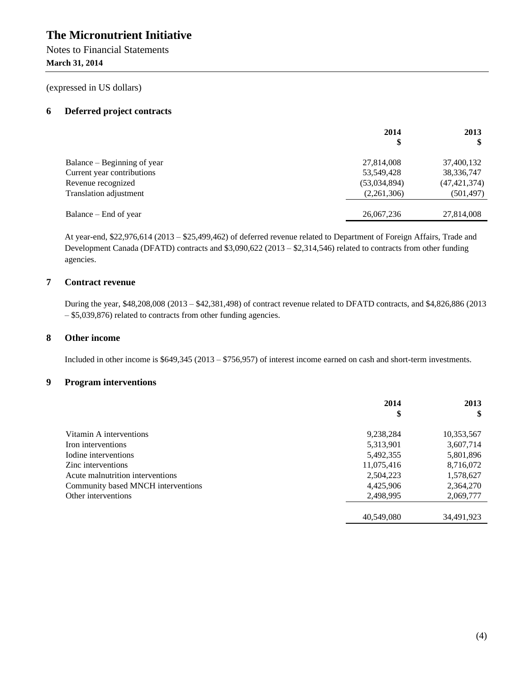Notes to Financial Statements **March 31, 2014**

(expressed in US dollars)

## **6 Deferred project contracts**

|                               | 2014         | 2013           |
|-------------------------------|--------------|----------------|
| Balance – Beginning of year   | 27,814,008   | 37,400,132     |
| Current year contributions    | 53,549,428   | 38, 336, 747   |
| Revenue recognized            | (53,034,894) | (47, 421, 374) |
| <b>Translation adjustment</b> | (2,261,306)  | (501,497)      |
|                               |              |                |
| Balance – End of year         | 26,067,236   | 27,814,008     |

At year-end, \$22,976,614 (2013 – \$25,499,462) of deferred revenue related to Department of Foreign Affairs, Trade and Development Canada (DFATD) contracts and \$3,090,622 (2013 – \$2,314,546) related to contracts from other funding agencies.

## **7 Contract revenue**

During the year, \$48,208,008 (2013 – \$42,381,498) of contract revenue related to DFATD contracts, and \$4,826,886 (2013 – \$5,039,876) related to contracts from other funding agencies.

## **8 Other income**

Included in other income is \$649,345 (2013 – \$756,957) of interest income earned on cash and short-term investments.

#### **9 Program interventions**

|                                    | 2014       | 2013       |
|------------------------------------|------------|------------|
|                                    | \$         | S          |
| Vitamin A interventions            | 9,238,284  | 10,353,567 |
| Iron interventions                 | 5,313,901  | 3,607,714  |
| Iodine interventions               | 5,492,355  | 5,801,896  |
| Zinc interventions                 | 11,075,416 | 8,716,072  |
| Acute malnutrition interventions   | 2,504,223  | 1,578,627  |
| Community based MNCH interventions | 4,425,906  | 2,364,270  |
| Other interventions                | 2,498,995  | 2,069,777  |
|                                    | 40.549,080 | 34,491,923 |